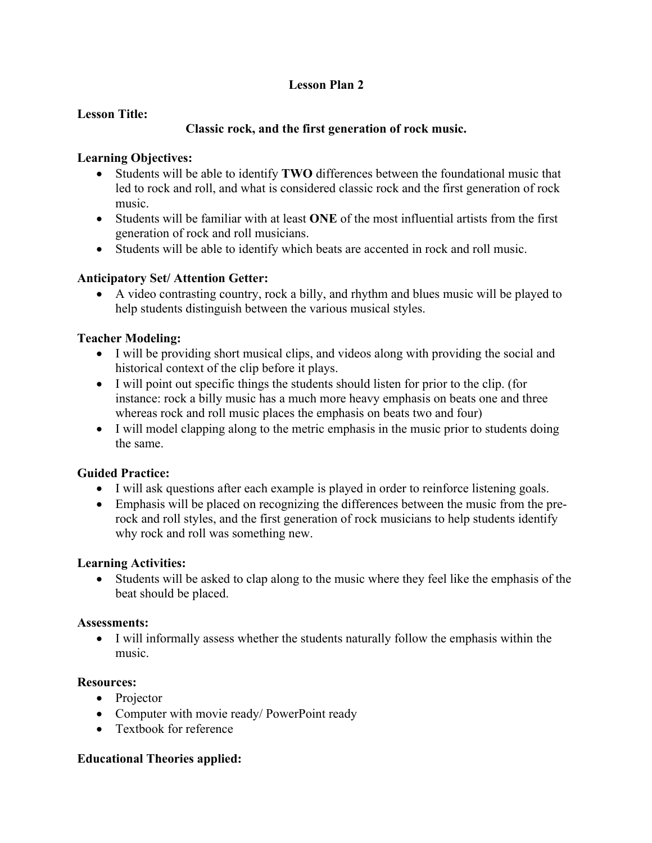# **Lesson Plan 2**

#### **Lesson Title:**

# **Classic rock, and the first generation of rock music.**

### **Learning Objectives:**

- Students will be able to identify **TWO** differences between the foundational music that led to rock and roll, and what is considered classic rock and the first generation of rock music.
- Students will be familiar with at least **ONE** of the most influential artists from the first generation of rock and roll musicians.
- Students will be able to identify which beats are accented in rock and roll music.

### **Anticipatory Set/ Attention Getter:**

• A video contrasting country, rock a billy, and rhythm and blues music will be played to help students distinguish between the various musical styles.

### **Teacher Modeling:**

- I will be providing short musical clips, and videos along with providing the social and historical context of the clip before it plays.
- I will point out specific things the students should listen for prior to the clip. (for instance: rock a billy music has a much more heavy emphasis on beats one and three whereas rock and roll music places the emphasis on beats two and four)
- I will model clapping along to the metric emphasis in the music prior to students doing the same.

### **Guided Practice:**

- I will ask questions after each example is played in order to reinforce listening goals.
- Emphasis will be placed on recognizing the differences between the music from the prerock and roll styles, and the first generation of rock musicians to help students identify why rock and roll was something new.

### **Learning Activities:**

• Students will be asked to clap along to the music where they feel like the emphasis of the beat should be placed.

### **Assessments:**

• I will informally assess whether the students naturally follow the emphasis within the music.

### **Resources:**

- Projector
- Computer with movie ready/ PowerPoint ready
- Textbook for reference

### **Educational Theories applied:**